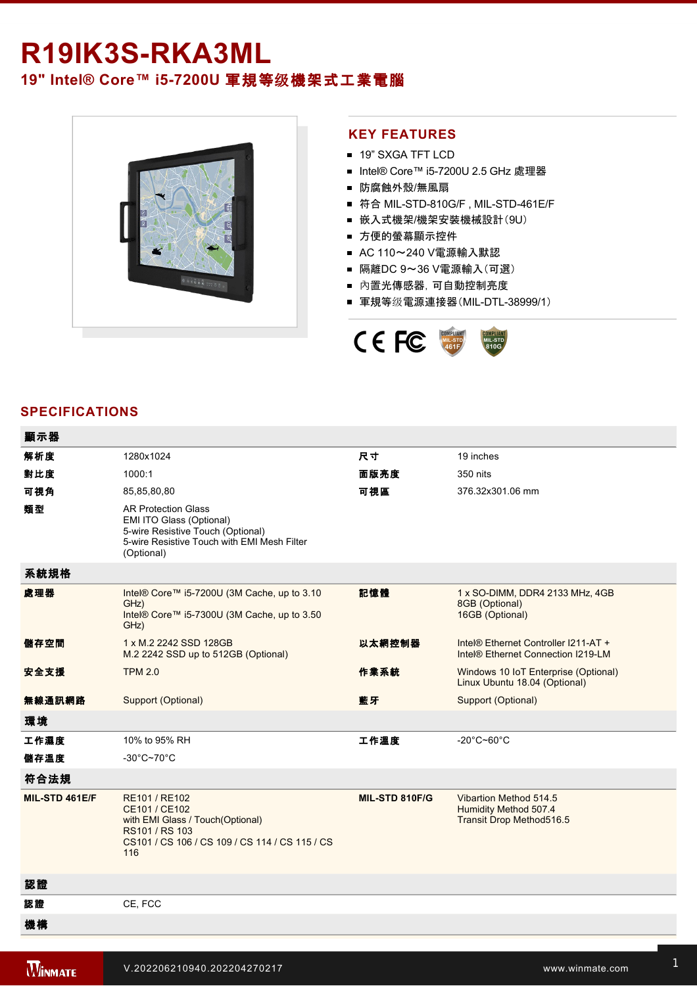## R19IK3S-RKA3ML **19" Intel® Core™ i5-7200U 軍規等级機架式工業電腦**



## **KEY FEATURES**

- 19" SXGA TFT LCD
- Intel® Core™ i5-7200U 2.5 GHz 處理器
- 防腐蝕外殼/無風扇
- 符合 MIL-STD-810G/F, MIL-STD-461E/F
- 嵌入式機架/機架安裝機械設計(9U)
- 方便的螢幕顯示控件
- AC 110~240 V電源輸入默認
- 隔離DC 9~36 V電源輸入(可選)
- 內置光傳感器,可自動控制亮度
- 軍規等级電源連接器(MIL-DTL-38999/1)



## **SPECIFICATIONS**

| 顯示器            |                                                                                                                                                          |                |                                                                             |
|----------------|----------------------------------------------------------------------------------------------------------------------------------------------------------|----------------|-----------------------------------------------------------------------------|
| 解析度            | 1280x1024                                                                                                                                                | 尺寸             | 19 inches                                                                   |
| 對比度            | 1000:1                                                                                                                                                   | 面版亮度           | 350 nits                                                                    |
| 可視角            | 85,85,80,80                                                                                                                                              | 可視區            | 376.32x301.06 mm                                                            |
| 類型             | <b>AR Protection Glass</b><br>EMI ITO Glass (Optional)<br>5-wire Resistive Touch (Optional)<br>5-wire Resistive Touch with EMI Mesh Filter<br>(Optional) |                |                                                                             |
| 系統規格           |                                                                                                                                                          |                |                                                                             |
| 處理器            | Intel® Core™ i5-7200U (3M Cache, up to 3.10<br>GHz)<br>Intel® Core™ i5-7300U (3M Cache, up to 3.50<br>GHz)                                               | 記憶體            | 1 x SO-DIMM, DDR4 2133 MHz, 4GB<br>8GB (Optional)<br>16GB (Optional)        |
| 儲存空間           | 1 x M.2 2242 SSD 128GB<br>M.2 2242 SSD up to 512GB (Optional)                                                                                            | 以太網控制器         | Intel® Ethernet Controller I211-AT +<br>Intel® Ethernet Connection I219-LM  |
| 安全支援           | <b>TPM 2.0</b>                                                                                                                                           | 作業系統           | Windows 10 IoT Enterprise (Optional)<br>Linux Ubuntu 18.04 (Optional)       |
| 無線通訊網路         | Support (Optional)                                                                                                                                       | 藍牙             | Support (Optional)                                                          |
| 環境             |                                                                                                                                                          |                |                                                                             |
| 工作濕度           | 10% to 95% RH                                                                                                                                            | 工作溫度           | -20 $^{\circ}$ C~60 $^{\circ}$ C                                            |
| 儲存溫度           | $-30^{\circ}$ C~70 $^{\circ}$ C                                                                                                                          |                |                                                                             |
| 符合法規           |                                                                                                                                                          |                |                                                                             |
| MIL-STD 461E/F | RE101 / RE102<br>CE101 / CE102<br>with EMI Glass / Touch(Optional)<br>RS101 / RS 103<br>CS101 / CS 106 / CS 109 / CS 114 / CS 115 / CS<br>116            | MIL-STD 810F/G | Vibartion Method 514.5<br>Humidity Method 507.4<br>Transit Drop Method516.5 |
| 認證             |                                                                                                                                                          |                |                                                                             |
| 認證             | CE, FCC                                                                                                                                                  |                |                                                                             |
| 機構             |                                                                                                                                                          |                |                                                                             |